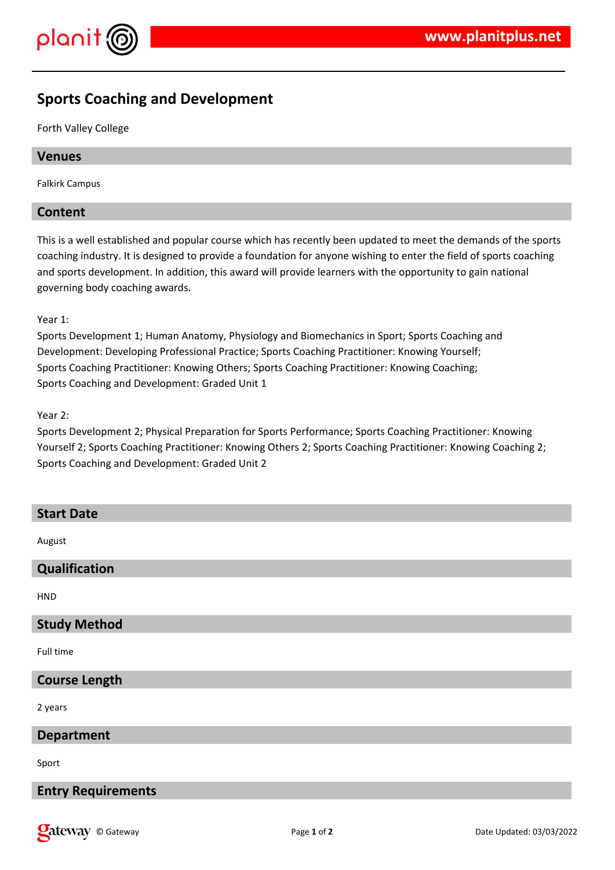

# **Sports Coaching and Development**

Forth Valley College

# **Venues**

Falkirk Campus

# **Content**

This is a well established and popular course which has recently been updated to meet the demands of the sports coaching industry. It is designed to provide a foundation for anyone wishing to enter the field of sports coaching and sports development. In addition, this award will provide learners with the opportunity to gain national governing body coaching awards.

Year 1:

Sports Development 1; Human Anatomy, Physiology and Biomechanics in Sport; Sports Coaching and Development: Developing Professional Practice; Sports Coaching Practitioner: Knowing Yourself; Sports Coaching Practitioner: Knowing Others; Sports Coaching Practitioner: Knowing Coaching; Sports Coaching and Development: Graded Unit 1

Year 2:

Sports Development 2; Physical Preparation for Sports Performance; Sports Coaching Practitioner: Knowing Yourself 2; Sports Coaching Practitioner: Knowing Others 2; Sports Coaching Practitioner: Knowing Coaching 2; Sports Coaching and Development: Graded Unit 2

| <b>Start Date</b>         |
|---------------------------|
| August                    |
| Qualification             |
| <b>HND</b>                |
| <b>Study Method</b>       |
| Full time                 |
| <b>Course Length</b>      |
| 2 years                   |
| <b>Department</b>         |
| Sport                     |
| <b>Entry Requirements</b> |